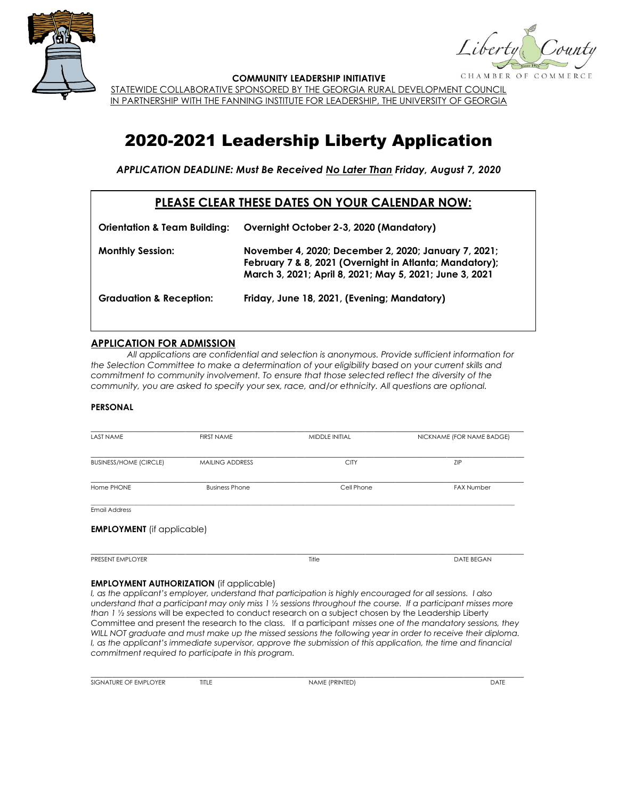

CHAMBER OF

**COMMUNITY LEADERSHIP INITIATIVE**

STATEWIDE COLLABORATIVE SPONSORED BY THE GEORGIA RURAL DEVELOPMENT COUNCIL IN PARTNERSHIP WITH THE FANNING INSTITUTE FOR LEADERSHIP, THE UNIVERSITY OF GEORGIA

# 2020-2021 Leadership Liberty Application

*APPLICATION DEADLINE: Must Be Received No Later Than Friday, August 7, 2020*

## **PLEASE CLEAR THESE DATES ON YOUR CALENDAR NOW:**

| <b>Orientation &amp; Team Building:</b> | Overnight October 2-3, 2020 (Mandatory)                                                                                                                                    |
|-----------------------------------------|----------------------------------------------------------------------------------------------------------------------------------------------------------------------------|
| <b>Monthly Session:</b>                 | November 4, 2020; December 2, 2020; January 7, 2021;<br>February 7 & 8, 2021 (Overnight in Atlanta; Mandatory);<br>March 3, 2021; April 8, 2021; May 5, 2021; June 3, 2021 |
| <b>Graduation &amp; Reception:</b>      | Friday, June 18, 2021, (Evening; Mandatory)                                                                                                                                |

### **APPLICATION FOR ADMISSION**

*All applications are confidential and selection is anonymous. Provide sufficient information for the Selection Committee to make a determination of your eligibility based on your current skills and commitment to community involvement. To ensure that those selected reflect the diversity of the community, you are asked to specify your sex, race, and/or ethnicity. All questions are optional.*

#### **PERSONAL**

| <b>LAST NAME</b>                  | <b>FIRST NAME</b>      | MIDDLE INITIAL | NICKNAME (FOR NAME BADGE) |
|-----------------------------------|------------------------|----------------|---------------------------|
| <b>BUSINESS/HOME (CIRCLE)</b>     | <b>MAILING ADDRESS</b> | <b>CITY</b>    | ZIP                       |
| Home PHONE                        | <b>Business Phone</b>  | Cell Phone     | <b>FAX Number</b>         |
| <b>Email Address</b>              |                        |                |                           |
| <b>EMPLOYMENT</b> (if applicable) |                        |                |                           |
| PRESENT EMPLOYER                  |                        | Title          | <b>DATE BEGAN</b>         |

#### **EMPLOYMENT AUTHORIZATION** (if applicable)

*I, as the applicant's employer, understand that participation is highly encouraged for all sessions. I also understand that a participant may only miss 1 ½ sessions throughout the course. If a participant misses more than 1 ½ sessions* will be expected to conduct research on a subject chosen by the Leadership Liberty Committee and present the research to the class. If a participant *misses one of the mandatory sessions, they*  WILL NOT graduate and must make up the missed sessions the following year in order to receive their diploma. *I, as the applicant's immediate supervisor, approve the submission of this application, the time and financial commitment required to participate in this program.*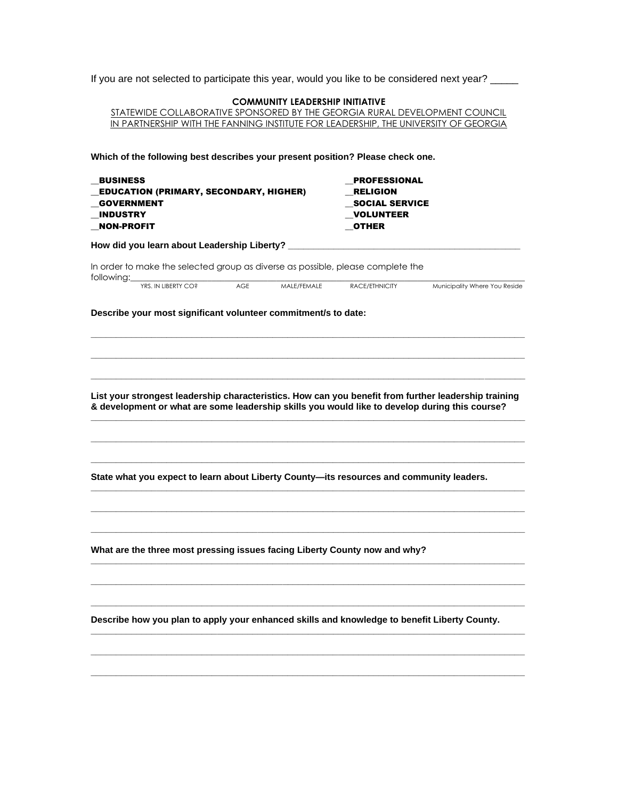If you are not selected to participate this year, would you like to be considered next year? \_\_\_\_\_

| STATEWIDE COLLABORATIVE SPONSORED BY THE GEORGIA RURAL DEVELOPMENT COUNCIL<br>IN PARTNERSHIP WITH THE FANNING INSTITUTE FOR LEADERSHIP, THE UNIVERSITY OF GEORGIA                                                                                                                                  |                                                                              |                               |
|----------------------------------------------------------------------------------------------------------------------------------------------------------------------------------------------------------------------------------------------------------------------------------------------------|------------------------------------------------------------------------------|-------------------------------|
|                                                                                                                                                                                                                                                                                                    |                                                                              |                               |
| Which of the following best describes your present position? Please check one.                                                                                                                                                                                                                     |                                                                              |                               |
| <b>BUSINESS</b>                                                                                                                                                                                                                                                                                    | <b>PROFESSIONAL</b>                                                          |                               |
| <b>EDUCATION (PRIMARY, SECONDARY, HIGHER)</b>                                                                                                                                                                                                                                                      | <b>RELIGION</b><br><b>SOCIAL SERVICE</b><br><b>VOLUNTEER</b><br><b>OTHER</b> |                               |
| <b>GOVERNMENT</b>                                                                                                                                                                                                                                                                                  |                                                                              |                               |
| <b>INDUSTRY</b><br><b>NON-PROFIT</b>                                                                                                                                                                                                                                                               |                                                                              |                               |
| How did you learn about Leadership Liberty?                                                                                                                                                                                                                                                        |                                                                              |                               |
|                                                                                                                                                                                                                                                                                                    |                                                                              |                               |
| In order to make the selected group as diverse as possible, please complete the<br>following:                                                                                                                                                                                                      |                                                                              |                               |
| YRS. IN LIBERTY CO?<br><b>AGE</b><br>MALE/FEMALE                                                                                                                                                                                                                                                   | RACE/ETHNICITY                                                               | Municipality Where You Reside |
| Describe your most significant volunteer commitment/s to date:                                                                                                                                                                                                                                     |                                                                              |                               |
|                                                                                                                                                                                                                                                                                                    |                                                                              |                               |
|                                                                                                                                                                                                                                                                                                    |                                                                              |                               |
|                                                                                                                                                                                                                                                                                                    |                                                                              |                               |
|                                                                                                                                                                                                                                                                                                    |                                                                              |                               |
|                                                                                                                                                                                                                                                                                                    |                                                                              |                               |
|                                                                                                                                                                                                                                                                                                    |                                                                              |                               |
|                                                                                                                                                                                                                                                                                                    |                                                                              |                               |
|                                                                                                                                                                                                                                                                                                    |                                                                              |                               |
|                                                                                                                                                                                                                                                                                                    |                                                                              |                               |
|                                                                                                                                                                                                                                                                                                    |                                                                              |                               |
|                                                                                                                                                                                                                                                                                                    |                                                                              |                               |
|                                                                                                                                                                                                                                                                                                    |                                                                              |                               |
|                                                                                                                                                                                                                                                                                                    |                                                                              |                               |
|                                                                                                                                                                                                                                                                                                    |                                                                              |                               |
|                                                                                                                                                                                                                                                                                                    |                                                                              |                               |
| List your strongest leadership characteristics. How can you benefit from further leadership training<br>& development or what are some leadership skills you would like to develop during this course?<br>State what you expect to learn about Liberty County-its resources and community leaders. |                                                                              |                               |
|                                                                                                                                                                                                                                                                                                    |                                                                              |                               |
|                                                                                                                                                                                                                                                                                                    |                                                                              |                               |
|                                                                                                                                                                                                                                                                                                    |                                                                              |                               |
|                                                                                                                                                                                                                                                                                                    |                                                                              |                               |
|                                                                                                                                                                                                                                                                                                    |                                                                              |                               |
| What are the three most pressing issues facing Liberty County now and why?                                                                                                                                                                                                                         |                                                                              |                               |
|                                                                                                                                                                                                                                                                                                    |                                                                              |                               |
| Describe how you plan to apply your enhanced skills and knowledge to benefit Liberty County.                                                                                                                                                                                                       |                                                                              |                               |
|                                                                                                                                                                                                                                                                                                    |                                                                              |                               |
|                                                                                                                                                                                                                                                                                                    |                                                                              |                               |
|                                                                                                                                                                                                                                                                                                    |                                                                              |                               |
|                                                                                                                                                                                                                                                                                                    |                                                                              |                               |